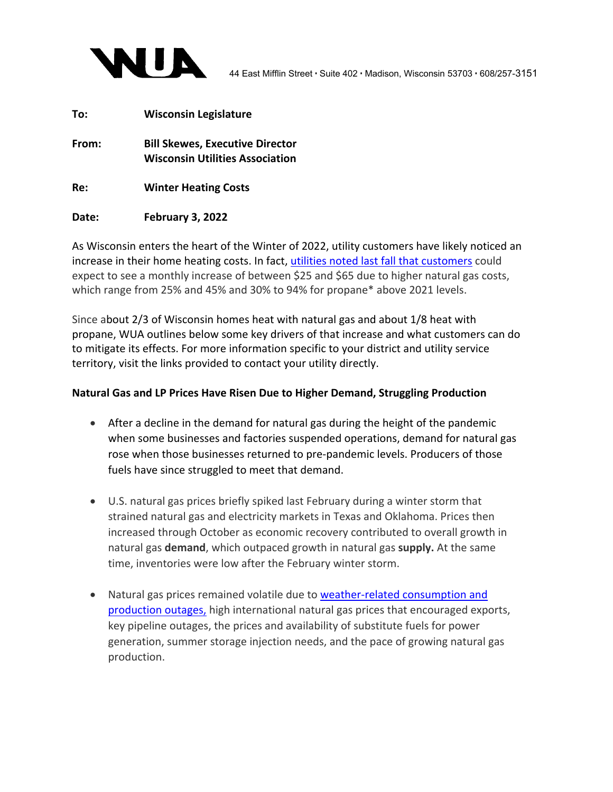

| To:   | <b>Wisconsin Legislature</b>                                                     |
|-------|----------------------------------------------------------------------------------|
| From: | <b>Bill Skewes, Executive Director</b><br><b>Wisconsin Utilities Association</b> |
| Re:   | <b>Winter Heating Costs</b>                                                      |

## **Date: February 3, 2022**

As Wisconsin enters the heart of the Winter of 2022, utility customers have likely noticed an increase in their home heating costs. In fact, utilities noted last fall that customers could expect to see a monthly increase of between \$25 and \$65 due to higher natural gas costs, which range from 25% and 45% and 30% to 94% for propane\* above 2021 levels.

Since about 2/3 of Wisconsin homes heat with natural gas and about 1/8 heat with propane, WUA outlines below some key drivers of that increase and what customers can do to mitigate its effects. For more information specific to your district and utility service territory, visit the links provided to contact your utility directly.

## **Natural Gas and LP Prices Have Risen Due to Higher Demand, Struggling Production**

- After a decline in the demand for natural gas during the height of the pandemic when some businesses and factories suspended operations, demand for natural gas rose when those businesses returned to pre‐pandemic levels. Producers of those fuels have since struggled to meet that demand.
- U.S. natural gas prices briefly spiked last February during a winter storm that strained natural gas and electricity markets in Texas and Oklahoma. Prices then increased through October as economic recovery contributed to overall growth in natural gas **demand**, which outpaced growth in natural gas **supply.** At the same time, inventories were low after the February winter storm.
- Natural gas prices remained volatile due to weather-related consumption and production outages, high international natural gas prices that encouraged exports, key pipeline outages, the prices and availability of substitute fuels for power generation, summer storage injection needs, and the pace of growing natural gas production.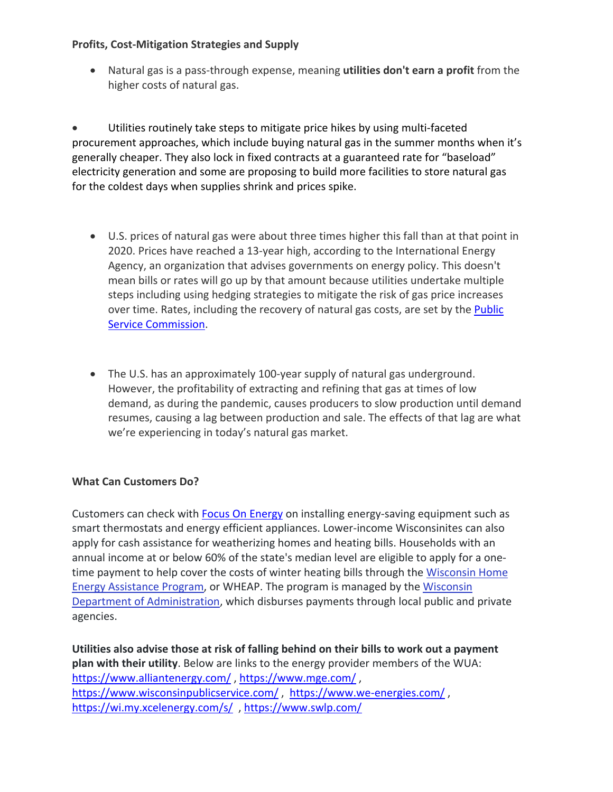## **Profits, Cost‐Mitigation Strategies and Supply**

 Natural gas is a pass‐through expense, meaning **utilities don't earn a profit** from the higher costs of natural gas.

 Utilities routinely take steps to mitigate price hikes by using multi‐faceted procurement approaches, which include buying natural gas in the summer months when it's generally cheaper. They also lock in fixed contracts at a guaranteed rate for "baseload" electricity generation and some are proposing to build more facilities to store natural gas for the coldest days when supplies shrink and prices spike.

- U.S. prices of natural gas were about three times higher this fall than at that point in 2020. Prices have reached a 13‐year high, according to the International Energy Agency, an organization that advises governments on energy policy. This doesn't mean bills or rates will go up by that amount because utilities undertake multiple steps including using hedging strategies to mitigate the risk of gas price increases over time. Rates, including the recovery of natural gas costs, are set by the Public Service Commission.
- The U.S. has an approximately 100‐year supply of natural gas underground. However, the profitability of extracting and refining that gas at times of low demand, as during the pandemic, causes producers to slow production until demand resumes, causing a lag between production and sale. The effects of that lag are what we're experiencing in today's natural gas market.

## **What Can Customers Do?**

Customers can check with Focus On Energy on installing energy‐saving equipment such as smart thermostats and energy efficient appliances. Lower-income Wisconsinites can also apply for cash assistance for weatherizing homes and heating bills. Households with an annual income at or below 60% of the state's median level are eligible to apply for a one‐ time payment to help cover the costs of winter heating bills through the Wisconsin Home Energy Assistance Program, or WHEAP. The program is managed by the Wisconsin Department of Administration, which disburses payments through local public and private agencies.

**Utilities also advise those at risk of falling behind on their bills to work out a payment plan with their utility**. Below are links to the energy provider members of the WUA: https://www.alliantenergy.com/ , https://www.mge.com/ , https://www.wisconsinpublicservice.com/, https://www.we-energies.com/, https://wi.my.xcelenergy.com/s/ , https://www.swlp.com/